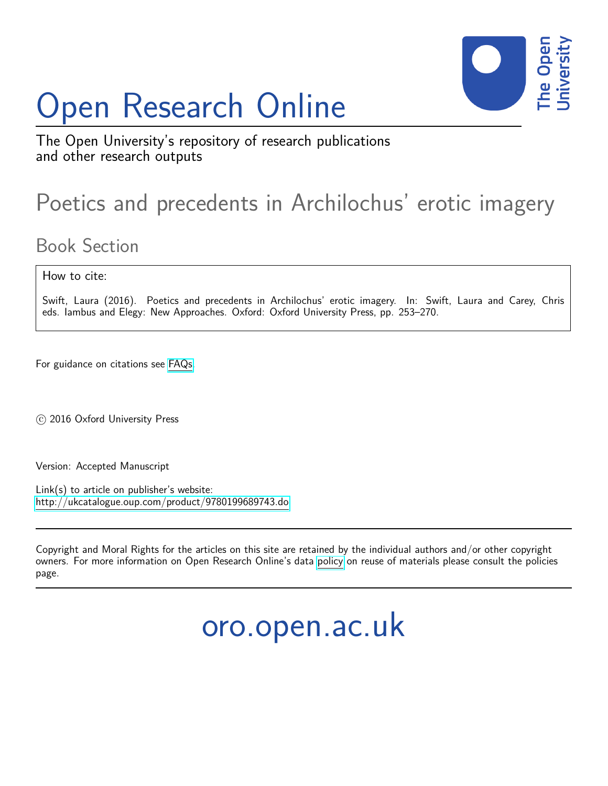# Open Research Online



The Open University's repository of research publications and other research outputs

# Poetics and precedents in Archilochus' erotic imagery

## Book Section

How to cite:

Swift, Laura (2016). Poetics and precedents in Archilochus' erotic imagery. In: Swift, Laura and Carey, Chris eds. Iambus and Elegy: New Approaches. Oxford: Oxford University Press, pp. 253–270.

For guidance on citations see [FAQs.](http://oro.open.ac.uk/help/helpfaq.html)

c 2016 Oxford University Press

Version: Accepted Manuscript

Link(s) to article on publisher's website: <http://ukcatalogue.oup.com/product/9780199689743.do>

Copyright and Moral Rights for the articles on this site are retained by the individual authors and/or other copyright owners. For more information on Open Research Online's data [policy](http://oro.open.ac.uk/policies.html) on reuse of materials please consult the policies page.

oro.open.ac.uk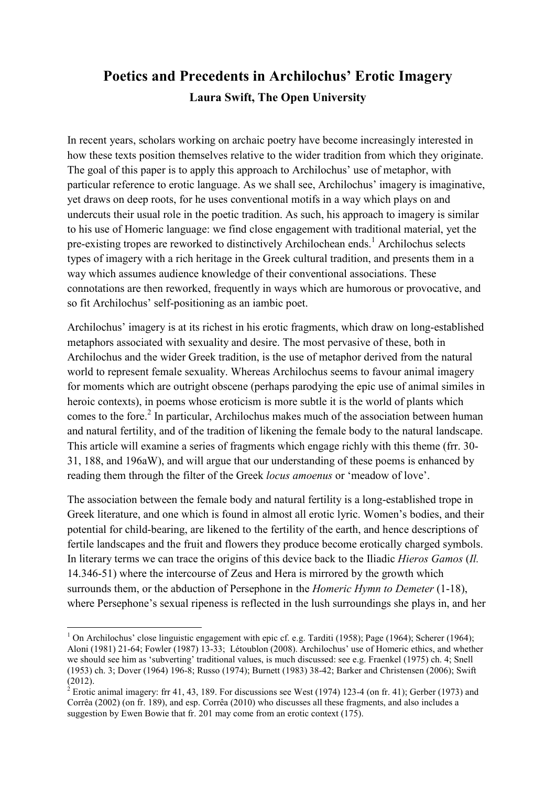### **Poetics and Precedents in Archilochus' Erotic Imagery Laura Swift, The Open University**

In recent years, scholars working on archaic poetry have become increasingly interested in how these texts position themselves relative to the wider tradition from which they originate. The goal of this paper is to apply this approach to Archilochus' use of metaphor, with particular reference to erotic language. As we shall see, Archilochus' imagery is imaginative, yet draws on deep roots, for he uses conventional motifs in a way which plays on and undercuts their usual role in the poetic tradition. As such, his approach to imagery is similar to his use of Homeric language: we find close engagement with traditional material, yet the pre-existing tropes are reworked to distinctively Archilochean ends.<sup>1</sup> Archilochus selects types of imagery with a rich heritage in the Greek cultural tradition, and presents them in a way which assumes audience knowledge of their conventional associations. These connotations are then reworked, frequently in ways which are humorous or provocative, and so fit Archilochus' self-positioning as an iambic poet.

Archilochus' imagery is at its richest in his erotic fragments, which draw on long-established metaphors associated with sexuality and desire. The most pervasive of these, both in Archilochus and the wider Greek tradition, is the use of metaphor derived from the natural world to represent female sexuality. Whereas Archilochus seems to favour animal imagery for moments which are outright obscene (perhaps parodying the epic use of animal similes in heroic contexts), in poems whose eroticism is more subtle it is the world of plants which comes to the fore.<sup>2</sup> In particular, Archilochus makes much of the association between human and natural fertility, and of the tradition of likening the female body to the natural landscape. This article will examine a series of fragments which engage richly with this theme (frr. 30- 31, 188, and 196aW), and will argue that our understanding of these poems is enhanced by reading them through the filter of the Greek *locus amoenus* or 'meadow of love'.

The association between the female body and natural fertility is a long-established trope in Greek literature, and one which is found in almost all erotic lyric. Women's bodies, and their potential for child-bearing, are likened to the fertility of the earth, and hence descriptions of fertile landscapes and the fruit and flowers they produce become erotically charged symbols. In literary terms we can trace the origins of this device back to the Iliadic *Hieros Gamos* (*Il.*  14.346-51) where the intercourse of Zeus and Hera is mirrored by the growth which surrounds them, or the abduction of Persephone in the *Homeric Hymn to Demeter* (1-18), where Persephone's sexual ripeness is reflected in the lush surroundings she plays in, and her

<sup>&</sup>lt;sup>1</sup> On Archilochus' close linguistic engagement with epic cf. e.g. Tarditi (1958); Page (1964); Scherer (1964); Aloni (1981) 21-64; Fowler (1987) 13-33; Létoublon (2008). Archilochus' use of Homeric ethics, and whether we should see him as 'subverting' traditional values, is much discussed: see e.g. Fraenkel (1975) ch. 4; Snell (1953) ch. 3; Dover (1964) 196-8; Russo (1974); Burnett (1983) 38-42; Barker and Christensen (2006); Swift

<sup>(2012).&</sup>lt;br><sup>2</sup> Erotic animal imagery: frr 41, 43, 189. For discussions see West (1974) 123-4 (on fr. 41); Gerber (1973) and Corrêa (2002) (on fr. 189), and esp. Corrêa (2010) who discusses all these fragments, and also includes a suggestion by Ewen Bowie that fr. 201 may come from an erotic context (175).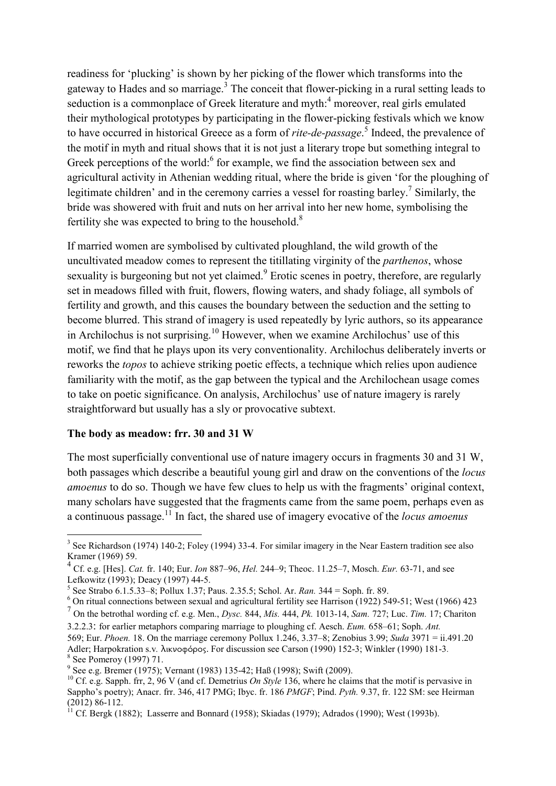readiness for 'plucking' is shown by her picking of the flower which transforms into the gateway to Hades and so marriage. $3$  The conceit that flower-picking in a rural setting leads to seduction is a commonplace of Greek literature and myth:<sup>4</sup> moreover, real girls emulated their mythological prototypes by participating in the flower-picking festivals which we know to have occurred in historical Greece as a form of *rite-de-passage*. 5 Indeed, the prevalence of the motif in myth and ritual shows that it is not just a literary trope but something integral to Greek perceptions of the world: $6$  for example, we find the association between sex and agricultural activity in Athenian wedding ritual, where the bride is given 'for the ploughing of legitimate children' and in the ceremony carries a vessel for roasting barley.<sup>7</sup> Similarly, the bride was showered with fruit and nuts on her arrival into her new home, symbolising the fertility she was expected to bring to the household. $8$ 

If married women are symbolised by cultivated ploughland, the wild growth of the uncultivated meadow comes to represent the titillating virginity of the *parthenos*, whose sexuality is burgeoning but not yet claimed.<sup>9</sup> Erotic scenes in poetry, therefore, are regularly set in meadows filled with fruit, flowers, flowing waters, and shady foliage, all symbols of fertility and growth, and this causes the boundary between the seduction and the setting to become blurred. This strand of imagery is used repeatedly by lyric authors, so its appearance in Archilochus is not surprising.<sup>10</sup> However, when we examine Archilochus' use of this motif, we find that he plays upon its very conventionality. Archilochus deliberately inverts or reworks the *topos* to achieve striking poetic effects, a technique which relies upon audience familiarity with the motif, as the gap between the typical and the Archilochean usage comes to take on poetic significance. On analysis, Archilochus' use of nature imagery is rarely straightforward but usually has a sly or provocative subtext.

#### **The body as meadow: frr. 30 and 31 W**

The most superficially conventional use of nature imagery occurs in fragments 30 and 31 W, both passages which describe a beautiful young girl and draw on the conventions of the *locus amoenus* to do so. Though we have few clues to help us with the fragments' original context, many scholars have suggested that the fragments came from the same poem, perhaps even as a continuous passage.<sup>11</sup> In fact, the shared use of imagery evocative of the *locus amoenus*

<sup>&</sup>lt;sup>3</sup> See Richardson (1974) 140-2; Foley (1994) 33-4. For similar imagery in the Near Eastern tradition see also Kramer (1969) 59.

<sup>4</sup> Cf. e.g. [Hes]. *Cat.* fr. 140; Eur. *Ion* 887–96, *Hel.* 244–9; Theoc. 11.25–7, Mosch. *Eur.* 63-71, and see Lefkowitz (1993); Deacy (1997) 44-5.

<sup>5</sup> See Strabo 6.1.5.33–8; Pollux 1.37; Paus. 2.35.5; Schol. Ar. *Ran.* 344 = Soph. fr. 89.

<sup>&</sup>lt;sup>6</sup> On ritual connections between sexual and agricultural fertility see Harrison (1922) 549-51; West (1966) 423 7 On the betrothal wording cf. e.g. Men., *Dysc.* 844, *Mis.* 444, *Pk.* 1013-14, *Sam.* 727; Luc. *Tim.* 17; Chariton

<sup>3.2.2.3</sup>: for earlier metaphors comparing marriage to ploughing cf. Aesch. *Eum.* 658–61; Soph. *Ant.*  569; Eur. *Phoen.* 18. On the marriage ceremony Pollux 1.246, 3.37–8; Zenobius 3.99; *Suda* 3971 = ii.491.20

Adler; Harpokration s.v*.* λικνοφόρος. For discussion see Carson (1990) 152-3; Winkler (1990) 181-3. 8 See Pomeroy (1997) 71.

<sup>9</sup> See e.g. Bremer (1975); Vernant (1983) 135-42; Haß (1998); Swift (2009).

<sup>&</sup>lt;sup>10</sup> Cf. e.g. Sapph. frr, 2, 96 V (and cf. Demetrius *On Style* 136, where he claims that the motif is pervasive in Sappho's poetry); Anacr. frr. 346, 417 PMG; Ibyc. fr. 186 *PMGF*; Pind. *Pyth.* 9.37, fr. 122 SM: see Heirman (2012) 86-112.

<sup>&</sup>lt;sup>11</sup> Cf. Bergk (1882); Lasserre and Bonnard (1958); Skiadas (1979); Adrados (1990); West (1993b).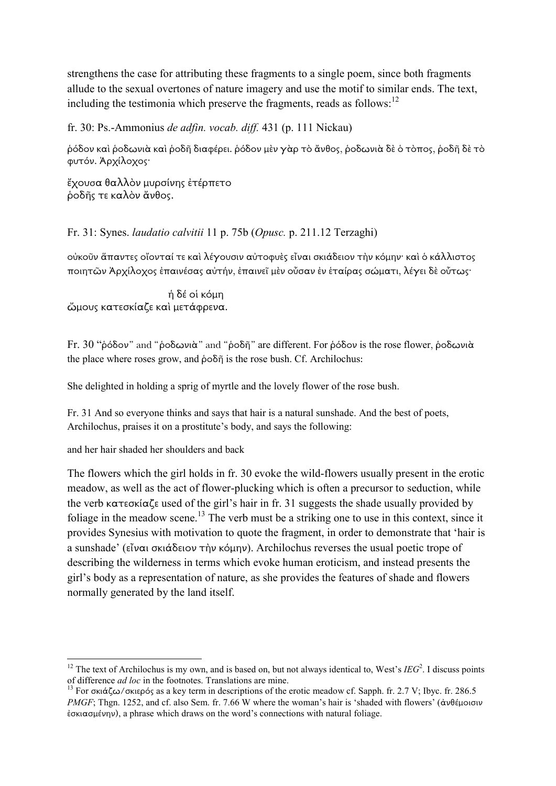strengthens the case for attributing these fragments to a single poem, since both fragments allude to the sexual overtones of nature imagery and use the motif to similar ends. The text, including the testimonia which preserve the fragments, reads as follows: $12$ 

fr. 30: Ps.-Ammonius *de adfin. vocab. diff.* 431 (p. 111 Nickau)

ῥόδον καὶ ῥοδωνιὰ καὶ ῥοδῆ διαφέρει. ῥόδον µὲν γὰρ τὸ ἄνθος, ῥοδωνιὰ δὲ ὁ τὸπος, ῥοδῆ δὲ τὸ φυτόν. Ἀρχίλοχος·

ἔχουσα θαλλὸν µυρσίνης ἐτέρπετο ῥοδῆς τε καλὸν ἄνθος.

Fr. 31: Synes. *laudatio calvitii* 11 p. 75b (*Opusc.* p. 211.12 Terzaghi)

οὐκοῦν ἅπαντες οἴονταί τε καὶ λέγουσιν αὐτοφυὲς εἶναι σκιάδειον τὴν κόµην· καὶ ὁ κάλλιστος ποιητῶν Ἀρχίλοχος ἐπαινέσας αὐτήν, ἐπαινεῖ µὲν οὖσαν ἐν ἑταίρας σώµατι, λέγει δὲ οὗτως·

ἡ δέ οἱ κόµη ὤµους κατεσκίαζε καὶ µετάφρενα.

Fr. 30 "ῥόδον" and "ῥοδωνιὰ" and "ῥοδῆ" are different. For ῥόδον is the rose flower, ῥοδωνιὰ the place where roses grow, and ῥοδῆ is the rose bush. Cf. Archilochus:

She delighted in holding a sprig of myrtle and the lovely flower of the rose bush.

Fr. 31 And so everyone thinks and says that hair is a natural sunshade. And the best of poets, Archilochus, praises it on a prostitute's body, and says the following:

and her hair shaded her shoulders and back

The flowers which the girl holds in fr. 30 evoke the wild-flowers usually present in the erotic meadow, as well as the act of flower-plucking which is often a precursor to seduction, while the verb κατεσκίαζε used of the girl's hair in fr. 31 suggests the shade usually provided by foliage in the meadow scene.<sup>13</sup> The verb must be a striking one to use in this context, since it provides Synesius with motivation to quote the fragment, in order to demonstrate that 'hair is a sunshade' (εἶναι σκιάδειον τὴν κόµην). Archilochus reverses the usual poetic trope of describing the wilderness in terms which evoke human eroticism, and instead presents the girl's body as a representation of nature, as she provides the features of shade and flowers normally generated by the land itself.

<sup>&</sup>lt;u>.</u> <sup>12</sup> The text of Archilochus is my own, and is based on, but not always identical to, West's  $IEG<sup>2</sup>$ . I discuss points of difference *ad loc* in the footnotes. Translations are mine.

<sup>&</sup>lt;sup>13</sup> For σκιάζω/σκιερός as a key term in descriptions of the erotic meadow cf. Sapph. fr. 2.7 V; Ibyc. fr. 286.5 *PMGF*; Thgn. 1252, and cf. also Sem. fr. 7.66 W where the woman's hair is 'shaded with flowers' (ἀνθέμοισιν  $\dot{\epsilon}$ σκιασμένην), a phrase which draws on the word's connections with natural foliage.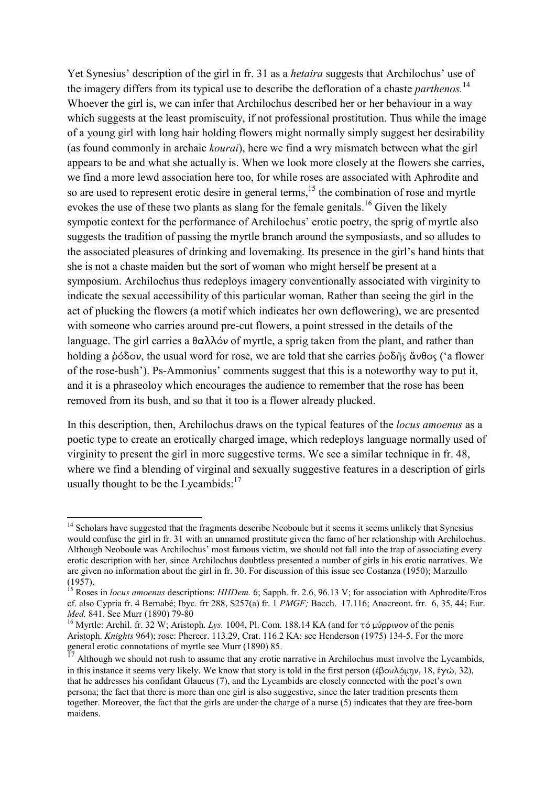Yet Synesius' description of the girl in fr. 31 as a *hetaira* suggests that Archilochus' use of the imagery differs from its typical use to describe the defloration of a chaste *parthenos.*<sup>14</sup> Whoever the girl is, we can infer that Archilochus described her or her behaviour in a way which suggests at the least promiscuity, if not professional prostitution. Thus while the image of a young girl with long hair holding flowers might normally simply suggest her desirability (as found commonly in archaic *kourai*), here we find a wry mismatch between what the girl appears to be and what she actually is. When we look more closely at the flowers she carries, we find a more lewd association here too, for while roses are associated with Aphrodite and so are used to represent erotic desire in general terms,<sup>15</sup> the combination of rose and myrtle evokes the use of these two plants as slang for the female genitals.<sup>16</sup> Given the likely sympotic context for the performance of Archilochus' erotic poetry, the sprig of myrtle also suggests the tradition of passing the myrtle branch around the symposiasts, and so alludes to the associated pleasures of drinking and lovemaking. Its presence in the girl's hand hints that she is not a chaste maiden but the sort of woman who might herself be present at a symposium. Archilochus thus redeploys imagery conventionally associated with virginity to indicate the sexual accessibility of this particular woman. Rather than seeing the girl in the act of plucking the flowers (a motif which indicates her own deflowering), we are presented with someone who carries around pre-cut flowers, a point stressed in the details of the language. The girl carries a θαλλόν of myrtle, a sprig taken from the plant, and rather than holding a ῥόδον, the usual word for rose, we are told that she carries ῥοδῆς ἄνθος ('a flower of the rose-bush'). Ps-Ammonius' comments suggest that this is a noteworthy way to put it, and it is a phraseoloy which encourages the audience to remember that the rose has been removed from its bush, and so that it too is a flower already plucked.

In this description, then, Archilochus draws on the typical features of the *locus amoenus* as a poetic type to create an erotically charged image, which redeploys language normally used of virginity to present the girl in more suggestive terms. We see a similar technique in fr. 48, where we find a blending of virginal and sexually suggestive features in a description of girls usually thought to be the Lycambids: $17$ 

<sup>&</sup>lt;u>.</u> <sup>14</sup> Scholars have suggested that the fragments describe Neoboule but it seems it seems unlikely that Synesius would confuse the girl in fr. 31 with an unnamed prostitute given the fame of her relationship with Archilochus. Although Neoboule was Archilochus' most famous victim, we should not fall into the trap of associating every erotic description with her, since Archilochus doubtless presented a number of girls in his erotic narratives. We are given no information about the girl in fr. 30. For discussion of this issue see Costanza (1950); Marzullo (1957).

<sup>&</sup>lt;sup>15</sup> Roses in *locus amoenus* descriptions: *HHDem.* 6; Sapph. fr. 2.6, 96.13 V; for association with Aphrodite/Eros cf. also Cypria fr. 4 Bernabé; Ibyc. frr 288, S257(a) fr. 1 *PMGF;* Bacch. 17.116; Anacreont. frr. 6, 35, 44; Eur. *Med.* 841. See Murr (1890) 79-80

<sup>&</sup>lt;sup>16</sup> Myrtle: Archil. fr. 32 W; Aristoph. *Lys.* 1004, Pl. Com. 188.14 KA (and for τό μύρρινον of the penis Aristoph. *Knights* 964); rose: Pherecr. 113.29, Crat. 116.2 KA: see Henderson (1975) 134-5. For the more general erotic connotations of myrtle see Murr (1890) 85.

Although we should not rush to assume that any erotic narrative in Archilochus must involve the Lycambids, in this instance it seems very likely. We know that story is told in the first person (ἐβουλόµην, 18, ἐγώ, 32), that he addresses his confidant Glaucus (7), and the Lycambids are closely connected with the poet's own persona; the fact that there is more than one girl is also suggestive, since the later tradition presents them together. Moreover, the fact that the girls are under the charge of a nurse (5) indicates that they are free-born maidens.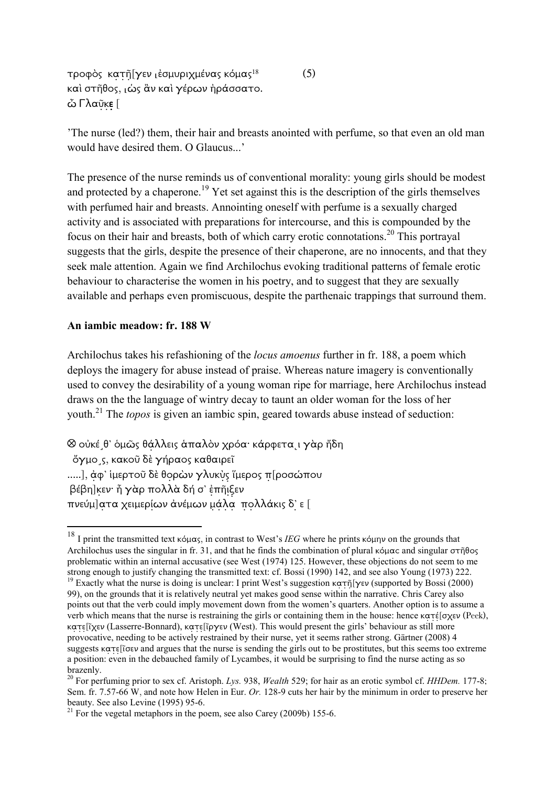τροφὸς κατῆ[γεν ⌊ἐσµυριχµένας κόµας<sup>18</sup> καὶ στῆθος, ιώς ἂν καὶ γέρων ἠράσσατο. ὦ Γλαῦκε [

'The nurse (led?) them, their hair and breasts anointed with perfume, so that even an old man would have desired them. O Glaucus...'

(5)

The presence of the nurse reminds us of conventional morality: young girls should be modest and protected by a chaperone.<sup>19</sup> Yet set against this is the description of the girls themselves with perfumed hair and breasts. Annointing oneself with perfume is a sexually charged activity and is associated with preparations for intercourse, and this is compounded by the focus on their hair and breasts, both of which carry erotic connotations.<sup>20</sup> This portrayal suggests that the girls, despite the presence of their chaperone, are no innocents, and that they seek male attention. Again we find Archilochus evoking traditional patterns of female erotic behaviour to characterise the women in his poetry, and to suggest that they are sexually available and perhaps even promiscuous, despite the parthenaic trappings that surround them.

#### **An iambic meadow: fr. 188 W**

-

Archilochus takes his refashioning of the *locus amoenus* further in fr. 188, a poem which deploys the imagery for abuse instead of praise. Whereas nature imagery is conventionally used to convey the desirability of a young woman ripe for marriage, here Archilochus instead draws on the the language of wintry decay to taunt an older woman for the loss of her youth.<sup>21</sup> The *topos* is given an iambic spin, geared towards abuse instead of seduction:

⊗ οὐκέ θ' ὁμῶς θάλλεις ἁπαλὸν χρόα· κάρφεται γὰρ ἤδη ὄγµο˼ς, κακοῦ δὲ γήραος καθαιρεῖ .....], ἀφ' ἱµερτοῦ δὲ θορὼν γλυκὺς ἵµερος π[ροσώπου βέβη]κεν· ἦ γὰρ πολλὰ δή σ' ἐπῆιξεν πνεύµ]ατα χειµερίων ἀνέµων µάλα πολλάκις δ'̣ ε [

<sup>18</sup> I print the transmitted text κόµας, in contrast to West's *IEG* where he prints κόµην on the grounds that Archilochus uses the singular in fr. 31, and that he finds the combination of plural κόμας and singular στῆθος problematic within an internal accusative (see West (1974) 125. However, these objections do not seem to me strong enough to justify changing the transmitted text: cf. Bossi (1990) 142, and see also Young (1973) 222. <sup>19</sup> Exactly what the nurse is doing is unclear: I print West's suggestion κατῆ[γεν (supported by Bossi (2000) 99), on the grounds that it is relatively neutral yet makes good sense within the narrative. Chris Carey also points out that the verb could imply movement down from the women's quarters. Another option is to assume a verb which means that the nurse is restraining the girls or containing them in the house: hence κατέ[σχεν (Peek), κατε[ῖχεν (Lasserre-Bonnard), κατε[ῖργεν (West). This would present the girls' behaviour as still more provocative, needing to be actively restrained by their nurse, yet it seems rather strong. Gärtner (2008) 4 suggests κατε[ῖσεν and argues that the nurse is sending the girls out to be prostitutes, but this seems too extreme a position: even in the debauched family of Lycambes, it would be surprising to find the nurse acting as so brazenly.

<sup>20</sup> For perfuming prior to sex cf. Aristoph. *Lys.* 938, *Wealth* 529; for hair as an erotic symbol cf. *HHDem.* 177-8; Sem. fr. 7.57-66 W, and note how Helen in Eur. *Or.* 128-9 cuts her hair by the minimum in order to preserve her beauty. See also Levine (1995) 95-6.

 $^{21}$  For the vegetal metaphors in the poem, see also Carey (2009b) 155-6.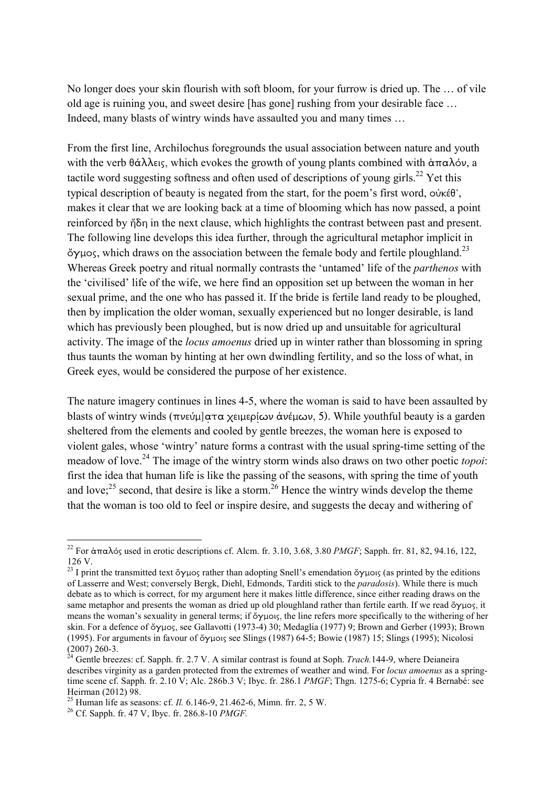No longer does your skin flourish with soft bloom, for your furrow is dried up. The … of vile old age is ruining you, and sweet desire [has gone] rushing from your desirable face … Indeed, many blasts of wintry winds have assaulted you and many times …

From the first line, Archilochus foregrounds the usual association between nature and youth with the verb θάλλεις, which evokes the growth of young plants combined with άπαλόν, a tactile word suggesting softness and often used of descriptions of young girls.<sup>22</sup> Yet this typical description of beauty is negated from the start, for the poem's first word, οὐκέθ', makes it clear that we are looking back at a time of blooming which has now passed, a point reinforced by ἤδη in the next clause, which highlights the contrast between past and present. The following line develops this idea further, through the agricultural metaphor implicit in  $\sigma$ γμος, which draws on the association between the female body and fertile ploughland.<sup>23</sup> Whereas Greek poetry and ritual normally contrasts the 'untamed' life of the *parthenos* with the 'civilised' life of the wife, we here find an opposition set up between the woman in her sexual prime, and the one who has passed it. If the bride is fertile land ready to be ploughed, then by implication the older woman, sexually experienced but no longer desirable, is land which has previously been ploughed, but is now dried up and unsuitable for agricultural activity. The image of the *locus amoenus* dried up in winter rather than blossoming in spring thus taunts the woman by hinting at her own dwindling fertility, and so the loss of what, in Greek eyes, would be considered the purpose of her existence.

The nature imagery continues in lines 4-5, where the woman is said to have been assaulted by blasts of wintry winds (πνεύμ]ατα χειμερίων ἀνέμων, 5). While youthful beauty is a garden sheltered from the elements and cooled by gentle breezes, the woman here is exposed to violent gales, whose 'wintry' nature forms a contrast with the usual spring-time setting of the meadow of love.<sup>24</sup> The image of the wintry storm winds also draws on two other poetic *topoi*: first the idea that human life is like the passing of the seasons, with spring the time of youth and love; $^{25}$  second, that desire is like a storm.<sup>26</sup> Hence the wintry winds develop the theme that the woman is too old to feel or inspire desire, and suggests the decay and withering of

<u>.</u>

<sup>&</sup>lt;sup>22</sup> For άπαλός used in erotic descriptions cf. Alcm. fr. 3.10, 3.68, 3.80 *PMGF*; Sapph. frr. 81, 82, 94.16, 122, 126 V.

<sup>&</sup>lt;sup>23</sup> I print the transmitted text ὄγμος rather than adopting Snell's emendation ὄγμοις (as printed by the editions of Lasserre and West; conversely Bergk, Diehl, Edmonds, Tarditi stick to the *paradosis*). While there is much debate as to which is correct, for my argument here it makes little difference, since either reading draws on the same metaphor and presents the woman as dried up old ploughland rather than fertile earth. If we read ὄγμος, it means the woman's sexuality in general terms; if ὄγµοις, the line refers more specifically to the withering of her skin. For a defence of ὄγµος, see Gallavotti (1973-4) 30; Medaglia (1977) 9; Brown and Gerber (1993); Brown (1995). For arguments in favour of ὄγµοις see Slings (1987) 64-5; Bowie (1987) 15; Slings (1995); Nicolosi (2007) 260-3.

<sup>&</sup>lt;sup>24</sup> Gentle breezes: cf. Sapph. fr. 2.7 V. A similar contrast is found at Soph. *Trach*.144-9, where Deianeira describes virginity as a garden protected from the extremes of weather and wind. For *locus amoenus* as a springtime scene cf. Sapph. fr. 2.10 V; Alc. 286b.3 V; Ibyc. fr. 286.1 *PMGF*; Thgn. 1275-6; Cypria fr. 4 Bernabé: see Heirman (2012) 98.

<sup>25</sup> Human life as seasons: cf. *Il.* 6.146-9, 21.462-6, Mimn. frr. 2, 5 W.

<sup>26</sup> Cf. Sapph. fr. 47 V, Ibyc. fr. 286.8-10 *PMGF.*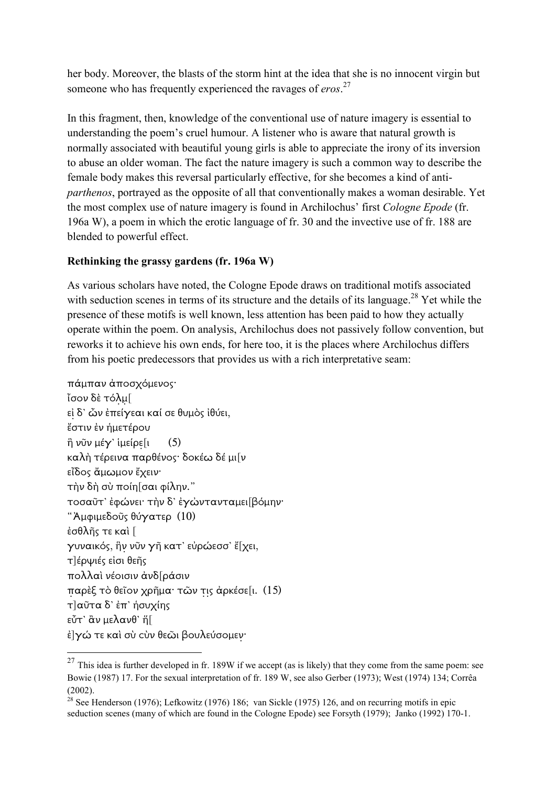her body. Moreover, the blasts of the storm hint at the idea that she is no innocent virgin but someone who has frequently experienced the ravages of *eros*. 27

In this fragment, then, knowledge of the conventional use of nature imagery is essential to understanding the poem's cruel humour. A listener who is aware that natural growth is normally associated with beautiful young girls is able to appreciate the irony of its inversion to abuse an older woman. The fact the nature imagery is such a common way to describe the female body makes this reversal particularly effective, for she becomes a kind of anti*parthenos*, portrayed as the opposite of all that conventionally makes a woman desirable. Yet the most complex use of nature imagery is found in Archilochus' first *Cologne Epode* (fr. 196a W), a poem in which the erotic language of fr. 30 and the invective use of fr. 188 are blended to powerful effect.

#### **Rethinking the grassy gardens (fr. 196a W)**

As various scholars have noted, the Cologne Epode draws on traditional motifs associated with seduction scenes in terms of its structure and the details of its language.<sup>28</sup> Yet while the presence of these motifs is well known, less attention has been paid to how they actually operate within the poem. On analysis, Archilochus does not passively follow convention, but reworks it to achieve his own ends, for here too, it is the places where Archilochus differs from his poetic predecessors that provides us with a rich interpretative seam:

```
πάµπαν ἀποσχόµενος· 
ἶσον δὲ τόλµ[ 
εἰ δ' ὦν ἐπείγεαι καί σε θυµὸς ἰθύει,
ἔστιν ἐν ἡµετέρου 
\hat{\eta} νῦν μέγ' ἱμείρε[ι (5)
καλὴ τέρεινα παρθένος· δοκέω δέ µι[ν 
εἶδος ἄµωµον ἔχειν· 
τὴν δὴ σὺ ποίη[σαι φίλην." 
τοσαῦτ' ἐφώνει· τὴν δ' ἐγὠντανταµει[βόµην· 
"Ἀµφιµεδοῦς θύγατερ (10) 
ἐσθλῆς τε καὶ [ 
γυναικός, ἣν νῦν γῆ κατ' εὐρώεσσ' ἔ[χει, 
τ]έρψιές εἰσι θεῆς 
πολλαὶ νέοισιν ἀνδ[ράσιν 
παρὲξ τὸ θεῖον χρῆµα· τῶν τις ἀρκέσε[ι. (15) 
τ]αῦτα δ' ἐπ' ἡσυχίης 
εὖτ' ἂν µελανθ' ἥ[ 
ἐ]γώ τε καὶ σὺ ϲὺν θεῶι βουλεύσοµεν·
```
<sup>&</sup>lt;sup>27</sup> This idea is further developed in fr. 189W if we accept (as is likely) that they come from the same poem: see Bowie (1987) 17. For the sexual interpretation of fr. 189 W, see also Gerber (1973); West (1974) 134; Corrêa  $(2002)$ 

<sup>&</sup>lt;sup>28</sup> See Henderson (1976); Lefkowitz (1976) 186; van Sickle (1975) 126, and on recurring motifs in epic seduction scenes (many of which are found in the Cologne Epode) see Forsyth (1979); Janko (1992) 170-1.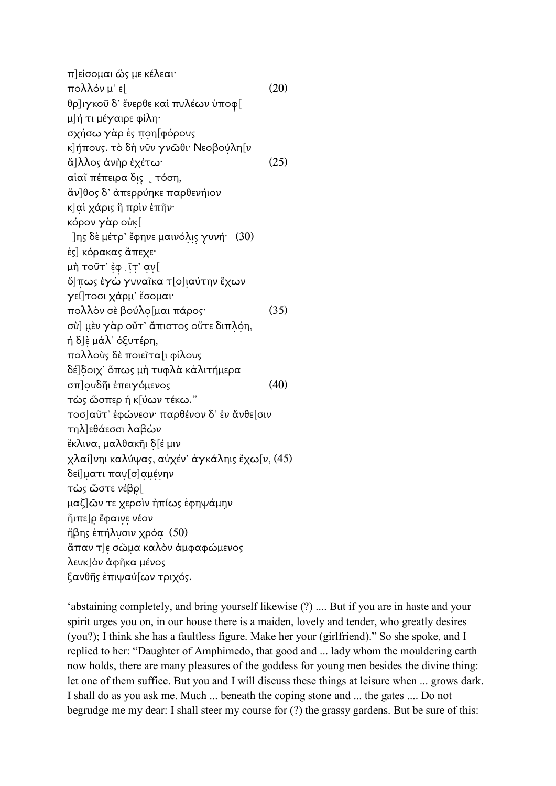π]είσοµαι ὥς µε κέλεαι· πολλόν µ' ε[ (20) θρ]ιγκοῦ δ' ἔνερθε καὶ πυλέων ὑποφ[ µ]ή τι µέγαιρε φίλη· σχήσω γὰρ ἐς ποη[φόρους κ]ήπους. τὸ δὴ νῦν γνῶθι· Νεοβούλη[ν ἄ]λλος ἀνὴρ ἐχέτω· (25) αἰαῖ πέπειρα δις̣ ˻ τόση, ἄν]θος δ' ἀπερρύηκε παρθενήιον κ]αὶ χάρις ἣ πρὶν ἐπῆν· κόρον γὰρ οὐκ[ ]ης δὲ µέτρ' ἔφηνε µαινόλις γυνή· (30) ἐς] κόρακας ἄπεχε· µὴ τοῦτ' ἐφ . ῖτ' αν[ ὅ]πως ἐγὼ γυναῖκα τ[ο]ιαύτην ἔχων γεί]τοσι χάρµ' ἔσοµαι· πολλὸν σὲ βούλο[µαι πάρος· (35) σὺ] µὲν γὰρ οὔτ' ἄπιστος οὔτε διπλόη, ἡ δ]ὲ µάλ' ὀξυτέρη, πολλοὺς δὲ ποιεῖτα[ι φίλους δέ]δοιχ' ὅπως µὴ τυφλὰ κἀλιτήµερα σπ]ουδῆι ἐπειγόµενος (40) τὼς ὥσπερ ἡ κ[ύων τέκω." τοσ]αῦτ' ἐφώνεον· παρθένον δ' ἐν ἄνθε[σιν τηλ]εθάεσσι λαβὼν ἔκλινα, µαλθακῆι δ[έ µιν χλαί]νηι καλύψας, αὐχέν' ἀγκάληις ἔχω[ν, (45) δεί]µατι παυ[σ]αµένην τὼς ὥστε νέβρ[ µαζ]ῶν τε χερσὶν ἠπίως ἐφηψάµην ἧιπε]ρ ἔφαινε νέον ἥβης ἐπήλυσιν χρόα (50) ἅπαν τ]ε σῶµα καλὸν ἀµφαφώµενος λευκ]ὸν ἀφῆκα µένος ξανθῆς ἐπιψαύ[ων τριχός.

'abstaining completely, and bring yourself likewise (?) .... But if you are in haste and your spirit urges you on, in our house there is a maiden, lovely and tender, who greatly desires (you?); I think she has a faultless figure. Make her your (girlfriend)." So she spoke, and I replied to her: "Daughter of Amphimedo, that good and ... lady whom the mouldering earth now holds, there are many pleasures of the goddess for young men besides the divine thing: let one of them suffice. But you and I will discuss these things at leisure when ... grows dark. I shall do as you ask me. Much ... beneath the coping stone and ... the gates .... Do not begrudge me my dear: I shall steer my course for (?) the grassy gardens. But be sure of this: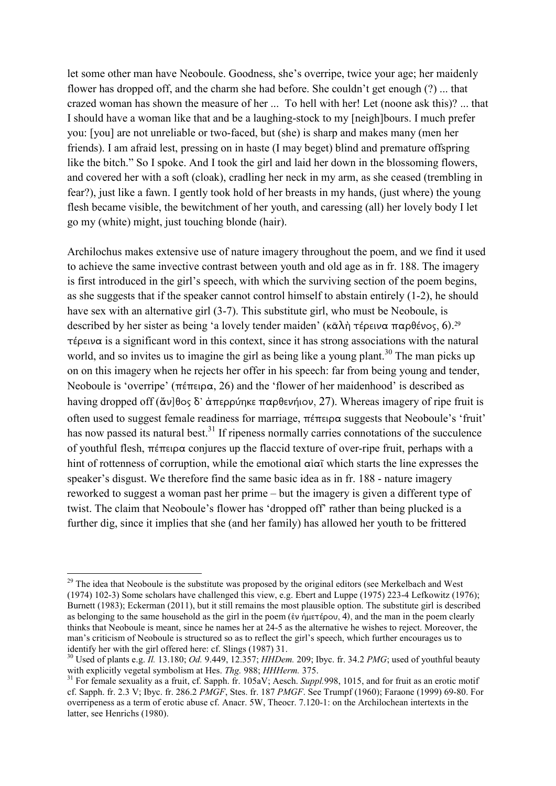let some other man have Neoboule. Goodness, she's overripe, twice your age; her maidenly flower has dropped off, and the charm she had before. She couldn't get enough (?) ... that crazed woman has shown the measure of her ... To hell with her! Let (noone ask this)? ... that I should have a woman like that and be a laughing-stock to my [neigh]bours. I much prefer you: [you] are not unreliable or two-faced, but (she) is sharp and makes many (men her friends). I am afraid lest, pressing on in haste (I may beget) blind and premature offspring like the bitch." So I spoke. And I took the girl and laid her down in the blossoming flowers, and covered her with a soft (cloak), cradling her neck in my arm, as she ceased (trembling in fear?), just like a fawn. I gently took hold of her breasts in my hands, (just where) the young flesh became visible, the bewitchment of her youth, and caressing (all) her lovely body I let go my (white) might, just touching blonde (hair).

Archilochus makes extensive use of nature imagery throughout the poem, and we find it used to achieve the same invective contrast between youth and old age as in fr. 188. The imagery is first introduced in the girl's speech, with which the surviving section of the poem begins, as she suggests that if the speaker cannot control himself to abstain entirely (1-2), he should have sex with an alternative girl (3-7). This substitute girl, who must be Neoboule, is described by her sister as being 'a lovely tender maiden' (κ $\bar{\alpha} \lambda$ ή τέρεινα παρθένος, 6).<sup>29</sup> τέρεινα is a significant word in this context, since it has strong associations with the natural world, and so invites us to imagine the girl as being like a young plant.<sup>30</sup> The man picks up on on this imagery when he rejects her offer in his speech: far from being young and tender, Neoboule is 'overripe' (πέπειρα, 26) and the 'flower of her maidenhood' is described as having dropped off (ἄν]θος δ' ἀπερρύηκε παρθενήιον, 27). Whereas imagery of ripe fruit is often used to suggest female readiness for marriage, πέπειρα suggests that Neoboule's 'fruit' has now passed its natural best.<sup>31</sup> If ripeness normally carries connotations of the succulence of youthful flesh, πέπειρα conjures up the flaccid texture of over-ripe fruit, perhaps with a hint of rottenness of corruption, while the emotional αἰαῖ which starts the line expresses the speaker's disgust. We therefore find the same basic idea as in fr. 188 - nature imagery reworked to suggest a woman past her prime – but the imagery is given a different type of twist. The claim that Neoboule's flower has 'dropped off' rather than being plucked is a further dig, since it implies that she (and her family) has allowed her youth to be frittered

<u>.</u>

 $29$  The idea that Neoboule is the substitute was proposed by the original editors (see Merkelbach and West (1974) 102-3) Some scholars have challenged this view, e.g. Ebert and Luppe (1975) 223-4 Lefkowitz (1976); Burnett (1983); Eckerman (2011), but it still remains the most plausible option. The substitute girl is described as belonging to the same household as the girl in the poem (ἐν ήμετέρου, 4), and the man in the poem clearly thinks that Neoboule is meant, since he names her at 24-5 as the alternative he wishes to reject. Moreover, the man's criticism of Neoboule is structured so as to reflect the girl's speech, which further encourages us to identify her with the girl offered here: cf. Slings (1987) 31.

<sup>30</sup> Used of plants e.g. *Il.* 13.180; *Od.* 9.449, 12.357; *HHDem.* 209; Ibyc. fr. 34.2 *PMG*; used of youthful beauty with explicitly vegetal symbolism at Hes. *Thg.* 988; *HHHerm.* 375.

<sup>&</sup>lt;sup>31</sup> For female sexuality as a fruit, cf. Sapph. fr. 105aV; Aesch. *Suppl.*998, 1015, and for fruit as an erotic motif cf. Sapph. fr. 2.3 V; Ibyc. fr. 286.2 *PMGF*, Stes. fr. 187 *PMGF*. See Trumpf (1960); Faraone (1999) 69-80. For overripeness as a term of erotic abuse cf. Anacr. 5W, Theocr. 7.120-1: on the Archilochean intertexts in the latter, see Henrichs (1980).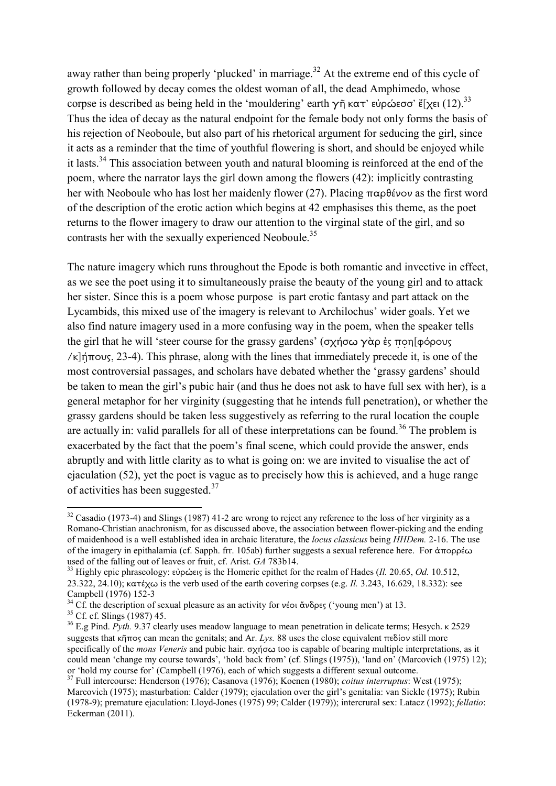away rather than being properly 'plucked' in marriage.<sup>32</sup> At the extreme end of this cycle of growth followed by decay comes the oldest woman of all, the dead Amphimedo, whose corpse is described as being held in the 'mouldering' earth γῆ κατ' εὐρώεσσ' ἔ[χει (12).<sup>33</sup> Thus the idea of decay as the natural endpoint for the female body not only forms the basis of his rejection of Neoboule, but also part of his rhetorical argument for seducing the girl, since it acts as a reminder that the time of youthful flowering is short, and should be enjoyed while it lasts.<sup>34</sup> This association between youth and natural blooming is reinforced at the end of the poem, where the narrator lays the girl down among the flowers (42): implicitly contrasting her with Neoboule who has lost her maidenly flower (27). Placing παρθένον as the first word of the description of the erotic action which begins at 42 emphasises this theme, as the poet returns to the flower imagery to draw our attention to the virginal state of the girl, and so contrasts her with the sexually experienced Neoboule.<sup>35</sup>

The nature imagery which runs throughout the Epode is both romantic and invective in effect, as we see the poet using it to simultaneously praise the beauty of the young girl and to attack her sister. Since this is a poem whose purpose is part erotic fantasy and part attack on the Lycambids, this mixed use of the imagery is relevant to Archilochus' wider goals. Yet we also find nature imagery used in a more confusing way in the poem, when the speaker tells the girl that he will 'steer course for the grassy gardens' (σχήσω γὰρ ἐς ποη[φόρους /κ]ήπους, 23-4). This phrase, along with the lines that immediately precede it, is one of the most controversial passages, and scholars have debated whether the 'grassy gardens' should be taken to mean the girl's pubic hair (and thus he does not ask to have full sex with her), is a general metaphor for her virginity (suggesting that he intends full penetration), or whether the grassy gardens should be taken less suggestively as referring to the rural location the couple are actually in: valid parallels for all of these interpretations can be found.<sup>36</sup> The problem is exacerbated by the fact that the poem's final scene, which could provide the answer, ends abruptly and with little clarity as to what is going on: we are invited to visualise the act of ejaculation (52), yet the poet is vague as to precisely how this is achieved, and a huge range of activities has been suggested.<sup>37</sup>

 $32$  Casadio (1973-4) and Slings (1987) 41-2 are wrong to reject any reference to the loss of her virginity as a Romano-Christian anachronism, for as discussed above, the association between flower-picking and the ending of maidenhood is a well established idea in archaic literature, the *locus classicus* being *HHDem.* 2-16. The use of the imagery in epithalamia (cf. Sapph. frr. 105ab) further suggests a sexual reference here. For ἀπορρέω used of the falling out of leaves or fruit, cf. Arist. *GA* 783b14.

<sup>33</sup> Highly epic phraseology: εὐρώεις is the Homeric epithet for the realm of Hades (*Il.* 20.65, *Od.* 10.512, 23.322, 24.10); κατέχω is the verb used of the earth covering corpses (e.g. *Il.* 3.243, 16.629, 18.332): see Campbell (1976) 152-3

<sup>&</sup>lt;sup>34</sup> Cf. the description of sexual pleasure as an activity for νέοι ἄνδρες ('young men') at 13.

 $35$  Cf. cf. Slings (1987) 45.

<sup>&</sup>lt;sup>36</sup> E.g Pind. *Pyth.* 9.37 clearly uses meadow language to mean penetration in delicate terms; Hesych. κ 2529 suggests that κῆπος can mean the genitals; and Ar. *Lys.* 88 uses the close equivalent πεδίον still more specifically of the *mons Veneris* and pubic hair. σχήσω too is capable of bearing multiple interpretations, as it could mean 'change my course towards', 'hold back from' (cf. Slings (1975)), 'land on' (Marcovich (1975) 12); or 'hold my course for' (Campbell (1976), each of which suggests a different sexual outcome.

<sup>37</sup> Full intercourse: Henderson (1976); Casanova (1976); Koenen (1980); *coitus interruptus*: West (1975); Marcovich (1975); masturbation: Calder (1979); ejaculation over the girl's genitalia: van Sickle (1975); Rubin (1978-9); premature ejaculation: Lloyd-Jones (1975) 99; Calder (1979)); intercrural sex: Latacz (1992); *fellatio*: Eckerman (2011).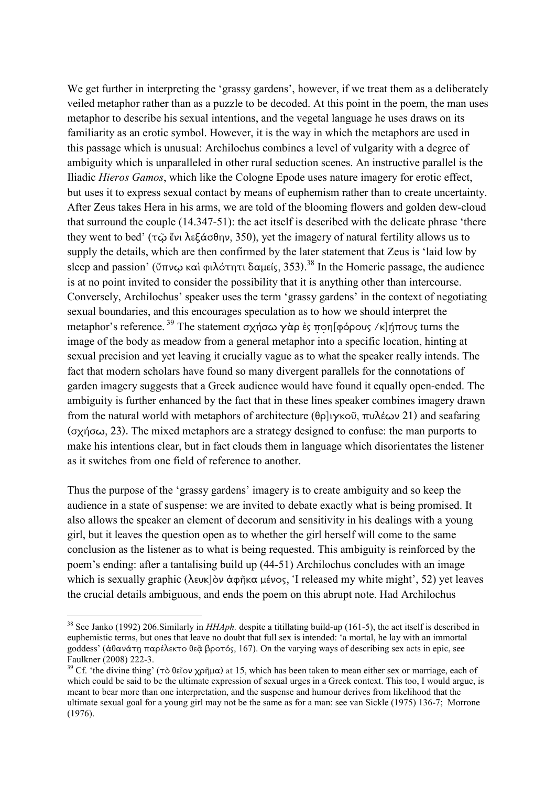We get further in interpreting the 'grassy gardens', however, if we treat them as a deliberately veiled metaphor rather than as a puzzle to be decoded. At this point in the poem, the man uses metaphor to describe his sexual intentions, and the vegetal language he uses draws on its familiarity as an erotic symbol. However, it is the way in which the metaphors are used in this passage which is unusual: Archilochus combines a level of vulgarity with a degree of ambiguity which is unparalleled in other rural seduction scenes. An instructive parallel is the Iliadic *Hieros Gamos*, which like the Cologne Epode uses nature imagery for erotic effect, but uses it to express sexual contact by means of euphemism rather than to create uncertainty. After Zeus takes Hera in his arms, we are told of the blooming flowers and golden dew-cloud that surround the couple (14.347-51): the act itself is described with the delicate phrase 'there they went to bed' (τῷ ἔνι λεξάσθην, 350), yet the imagery of natural fertility allows us to supply the details, which are then confirmed by the later statement that Zeus is 'laid low by sleep and passion' (ὕπνῳ καὶ φιλότητι δαµείς, 353). <sup>38</sup> In the Homeric passage, the audience is at no point invited to consider the possibility that it is anything other than intercourse. Conversely, Archilochus' speaker uses the term 'grassy gardens' in the context of negotiating sexual boundaries, and this encourages speculation as to how we should interpret the metaphor's reference.<sup>39</sup> The statement σχήσω γὰρ ἐς ποη[φόρους /κ]ήπους turns the image of the body as meadow from a general metaphor into a specific location, hinting at sexual precision and yet leaving it crucially vague as to what the speaker really intends. The fact that modern scholars have found so many divergent parallels for the connotations of garden imagery suggests that a Greek audience would have found it equally open-ended. The ambiguity is further enhanced by the fact that in these lines speaker combines imagery drawn from the natural world with metaphors of architecture (θρ]ιγκοῦ, πυλέων 21) and seafaring (σχήσω, 23). The mixed metaphors are a strategy designed to confuse: the man purports to make his intentions clear, but in fact clouds them in language which disorientates the listener as it switches from one field of reference to another.

Thus the purpose of the 'grassy gardens' imagery is to create ambiguity and so keep the audience in a state of suspense: we are invited to debate exactly what is being promised. It also allows the speaker an element of decorum and sensitivity in his dealings with a young girl, but it leaves the question open as to whether the girl herself will come to the same conclusion as the listener as to what is being requested. This ambiguity is reinforced by the poem's ending: after a tantalising build up (44-51) Archilochus concludes with an image which is sexually graphic (λευκ]ὸν ἀφῆκα μένος, 'I released my white might', 52) yet leaves the crucial details ambiguous, and ends the poem on this abrupt note. Had Archilochus

<u>.</u>

<sup>38</sup> See Janko (1992) 206.Similarly in *HHAph.* despite a titillating build-up (161-5), the act itself is described in euphemistic terms, but ones that leave no doubt that full sex is intended: 'a mortal, he lay with an immortal goddess' (ἀθανάτη παρέλεκτο θεᾶ βροτός, 167). On the varying ways of describing sex acts in epic, see Faulkner (2008) 222-3.

<sup>&</sup>lt;sup>39</sup> Cf. 'the divine thing' (τὸ θεῖον χρῆμα) at 15, which has been taken to mean either sex or marriage, each of which could be said to be the ultimate expression of sexual urges in a Greek context. This too, I would argue, is meant to bear more than one interpretation, and the suspense and humour derives from likelihood that the ultimate sexual goal for a young girl may not be the same as for a man: see van Sickle (1975) 136-7; Morrone (1976).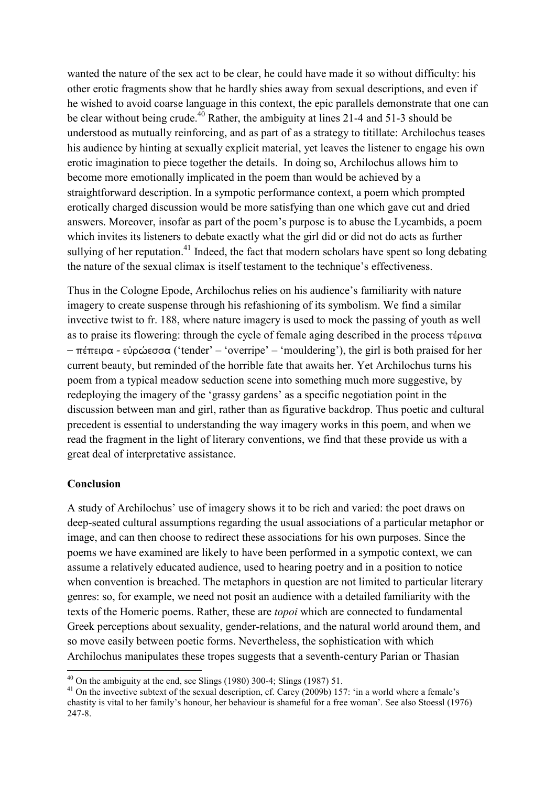wanted the nature of the sex act to be clear, he could have made it so without difficulty: his other erotic fragments show that he hardly shies away from sexual descriptions, and even if he wished to avoid coarse language in this context, the epic parallels demonstrate that one can be clear without being crude.<sup>40</sup> Rather, the ambiguity at lines 21-4 and 51-3 should be understood as mutually reinforcing, and as part of as a strategy to titillate: Archilochus teases his audience by hinting at sexually explicit material, yet leaves the listener to engage his own erotic imagination to piece together the details. In doing so, Archilochus allows him to become more emotionally implicated in the poem than would be achieved by a straightforward description. In a sympotic performance context, a poem which prompted erotically charged discussion would be more satisfying than one which gave cut and dried answers. Moreover, insofar as part of the poem's purpose is to abuse the Lycambids, a poem which invites its listeners to debate exactly what the girl did or did not do acts as further sullying of her reputation.<sup>41</sup> Indeed, the fact that modern scholars have spent so long debating the nature of the sexual climax is itself testament to the technique's effectiveness.

Thus in the Cologne Epode, Archilochus relies on his audience's familiarity with nature imagery to create suspense through his refashioning of its symbolism. We find a similar invective twist to fr. 188, where nature imagery is used to mock the passing of youth as well as to praise its flowering: through the cycle of female aging described in the process τέρεινα – πέπειρα - εὐρώεσσα ('tender' – 'overripe' – 'mouldering'), the girl is both praised for her current beauty, but reminded of the horrible fate that awaits her. Yet Archilochus turns his poem from a typical meadow seduction scene into something much more suggestive, by redeploying the imagery of the 'grassy gardens' as a specific negotiation point in the discussion between man and girl, rather than as figurative backdrop. Thus poetic and cultural precedent is essential to understanding the way imagery works in this poem, and when we read the fragment in the light of literary conventions, we find that these provide us with a great deal of interpretative assistance.

#### **Conclusion**

-

A study of Archilochus' use of imagery shows it to be rich and varied: the poet draws on deep-seated cultural assumptions regarding the usual associations of a particular metaphor or image, and can then choose to redirect these associations for his own purposes. Since the poems we have examined are likely to have been performed in a sympotic context, we can assume a relatively educated audience, used to hearing poetry and in a position to notice when convention is breached. The metaphors in question are not limited to particular literary genres: so, for example, we need not posit an audience with a detailed familiarity with the texts of the Homeric poems. Rather, these are *topoi* which are connected to fundamental Greek perceptions about sexuality, gender-relations, and the natural world around them, and so move easily between poetic forms. Nevertheless, the sophistication with which Archilochus manipulates these tropes suggests that a seventh-century Parian or Thasian

 $40$  On the ambiguity at the end, see Slings (1980) 300-4; Slings (1987) 51.

<sup>&</sup>lt;sup>41</sup> On the invective subtext of the sexual description, cf. Carey (2009b) 157: 'in a world where a female's chastity is vital to her family's honour, her behaviour is shameful for a free woman'. See also Stoessl (1976) 247-8.